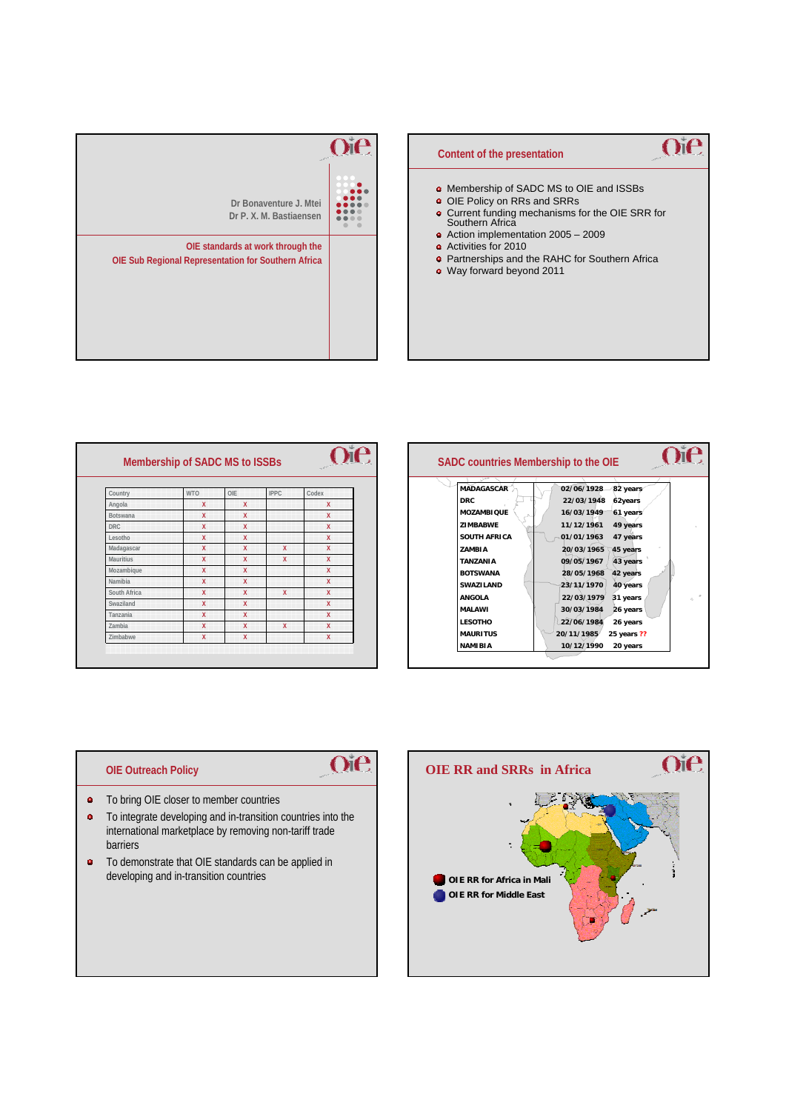



| Country          | <b>WTO</b>              | OIE                     | <b>IPPC</b>  | Codex |
|------------------|-------------------------|-------------------------|--------------|-------|
| Angola           | $\mathsf{x}$            | X                       |              | X     |
| Botswana         | $\overline{\mathsf{x}}$ | $\overline{\mathsf{x}}$ |              | X     |
| <b>DRC</b>       | $\mathbf{x}$            | X                       |              | X     |
| Lesotho          | $\overline{\mathbf{x}}$ | X                       |              | X     |
| Madagascar       | $\overline{\mathsf{x}}$ | $\overline{\mathsf{x}}$ | X            | X     |
| <b>Mauritius</b> | X                       | X                       | X            | X     |
| Mozambique       | $\mathsf{x}$            | X                       |              | X     |
| Namibia          | $\mathbf{x}$            | $\overline{\mathsf{x}}$ |              | X     |
| South Africa     | $\mathbf{x}$            | X                       | $\mathbf{x}$ | X     |
| Swaziland        | $\mathsf{x}$            | X                       |              | X     |
| Tanzania         | $\mathbf{x}$            | X                       |              | X     |
| Zambia           | X                       | X                       | X            | X     |
| Zimbabwe         | X                       | X                       |              | X     |



## **OIE Outreach Policy**



- **o** To bring OIE closer to member countries
- $\hat{\mathbf{a}}$ To integrate developing and in-transition countries into the international marketplace by removing non-tariff trade barriers
- To demonstrate that OIE standards can be applied in developing and in-transition countries **OIE RR for Africa in Mali**

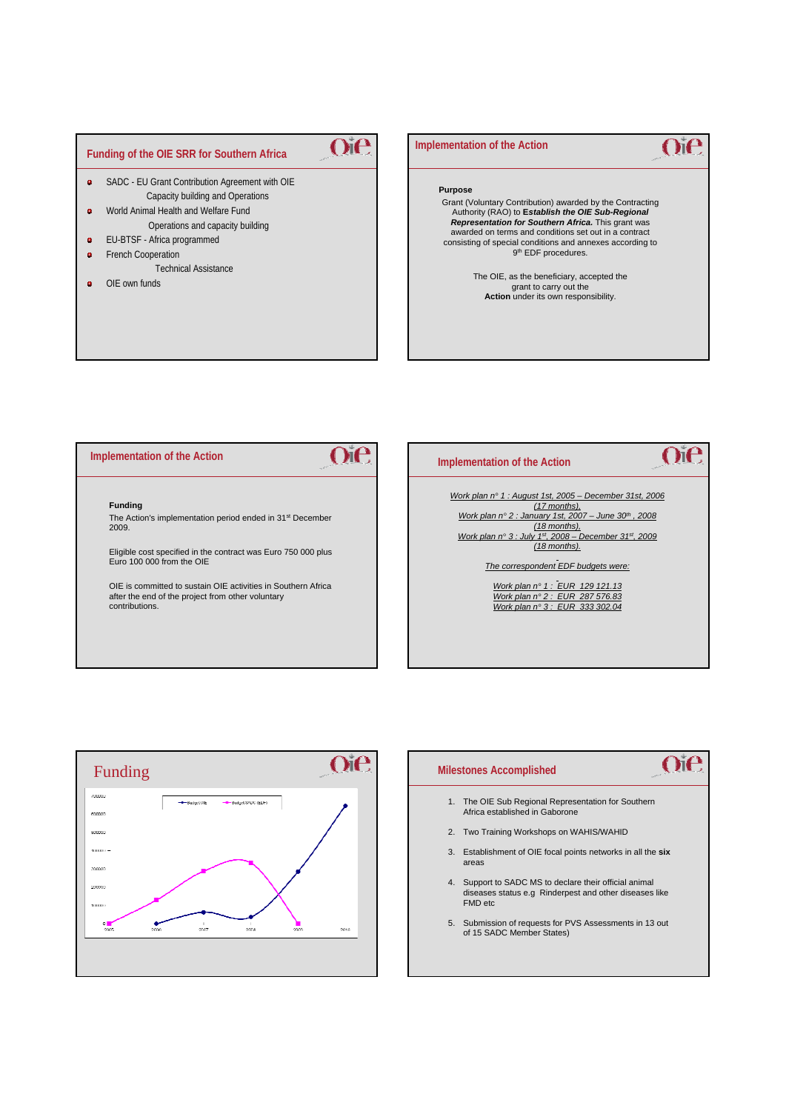# **Funding of the OIE SRR for Southern Africa**

- $\bullet$ SADC - EU Grant Contribution Agreement with OIE Capacity building and Operations
- $\ddot{\phantom{a}}$ World Animal Health and Welfare Fund Operations and capacity building
- EU-BTSF Africa programmed  $\ddot{\phantom{a}}$
- French Cooperation  $\ddot{\bullet}$
- Technical Assistance
- OIE own funds  $\ddot{\bullet}$

### **Implementation of the Action**

#### **Purpose**

Oie

Grant (Voluntary Contribution) awarded by the Contracting Authority (RAO) to **E***stablish the OIE Sub-Regional Representation for Southern Africa.* This grant was awarded on terms and conditions set out in a contract consisting of special conditions and annexes according to 9th EDF procedures.

 $O$ i $e$ 

The OIE, as the beneficiary, accepted the grant to carry out the<br>**Action** under its own responsibility.

#### Oie  $O<sub>i</sub>$  $e$ **Implementation of the Action Implementation of the Action** *Work plan n° 1 : August 1st, 2005 – December 31st, 2006*  **Funding** *(17 months), Work plan n° 2 : January 1st, 2007 – June 30th , 2008*  The Action's implementation period ended in 31st December *(18 months),*  2009. *Work plan n° 3 : July 1st, 2008 – December 31st, 2009 (18 months).* Eligible cost specified in the contract was Euro 750 000 plus Euro 100 000 from the OIE *The correspondent EDF budgets were:* OIE is committed to sustain OIE activities in Southern Africa *Work plan n° 1 : EUR 129 121.13* after the end of the project from other voluntary *Work plan n° 2 : EUR 287 576.83* contributions. *Work plan n° 3 : EUR 333 302.04*





5. Submission of requests for PVS Assessments in 13 out of 15 SADC Member States)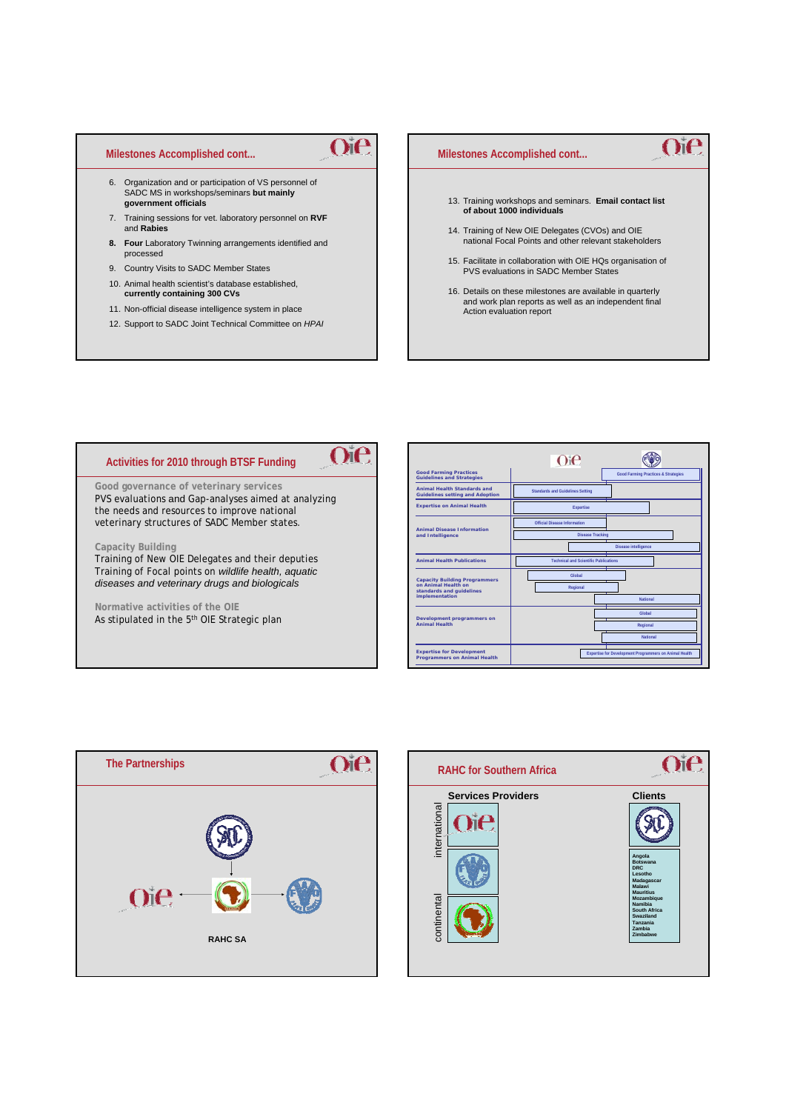#### **Milestones Accomplished cont...**

- 6. Organization and or participation of VS personnel of SADC MS in workshops/seminars **but mainly government officials**
- 7. Training sessions for vet. laboratory personnel on **RVF** and **Rabies**

Oie

- **8. Four** Laboratory Twinning arrangements identified and processed
- 9. Country Visits to SADC Member States
- 10. Animal health scientist's database established, **currently containing 300 CVs**
- 11. Non-official disease intelligence system in place
- 12. Support to SADC Joint Technical Committee on *HPAI*